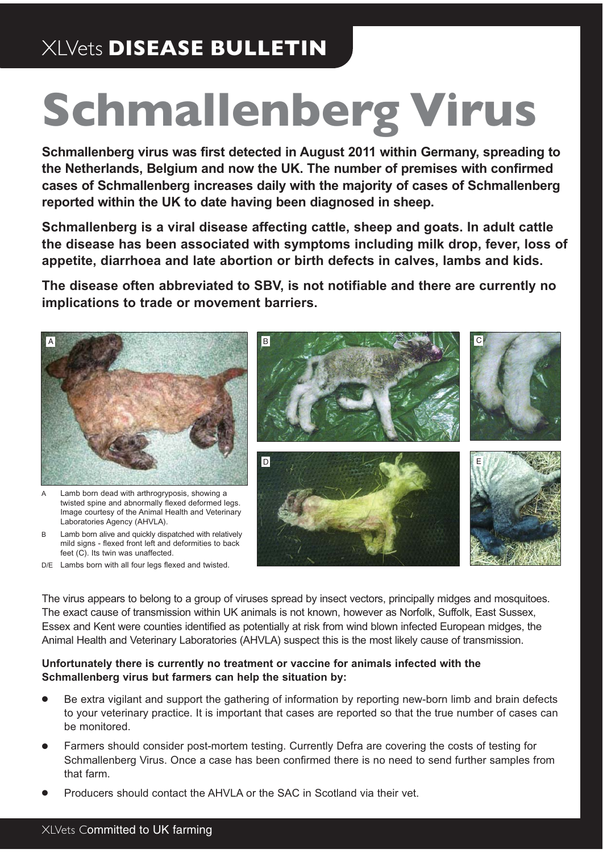# XLVets **DISEASE BULLETIN**

# **Schmallenberg Virus**

**Schmallenberg virus was first detected in August 2011 within Germany, spreading to the Netherlands, Belgium and now the UK. The number of premises with confirmed cases of Schmallenberg increases daily with the majority of cases of Schmallenberg reported within the UK to date having been diagnosed in sheep.** 

**Schmallenberg is a viral disease affecting cattle, sheep and goats. In adult cattle the disease has been associated with symptoms including milk drop, fever, loss of appetite, diarrhoea and late abortion or birth defects in calves, lambs and kids.** 

**The disease often abbreviated to SBV, is not notifiable and there are currently no implications to trade or movement barriers.**



- A Lamb born dead with arthrogryposis, showing a twisted spine and abnormally flexed deformed legs. Image courtesy of the Animal Health and Veterinary Laboratories Agency (AHVLA).
- B Lamb born alive and quickly dispatched with relatively mild signs - flexed front left and deformities to back feet (C). Its twin was unaffected.
- D/E Lambs born with all four legs flexed and twisted.



The virus appears to belong to a group of viruses spread by insect vectors, principally midges and mosquitoes. The exact cause of transmission within UK animals is not known, however as Norfolk, Suffolk, East Sussex, Essex and Kent were counties identified as potentially at risk from wind blown infected European midges, the Animal Health and Veterinary Laboratories (AHVLA) suspect this is the most likely cause of transmission.

#### **Unfortunately there is currently no treatment or vaccine for animals infected with the Schmallenberg virus but farmers can help the situation by:**

- Be extra vigilant and support the gathering of information by reporting new-born limb and brain defects to your veterinary practice. It is important that cases are reported so that the true number of cases can be monitored.
- Farmers should consider post-mortem testing. Currently Defra are covering the costs of testing for Schmallenberg Virus. Once a case has been confirmed there is no need to send further samples from that farm.
- Producers should contact the AHVLA or the SAC in Scotland via their vet.